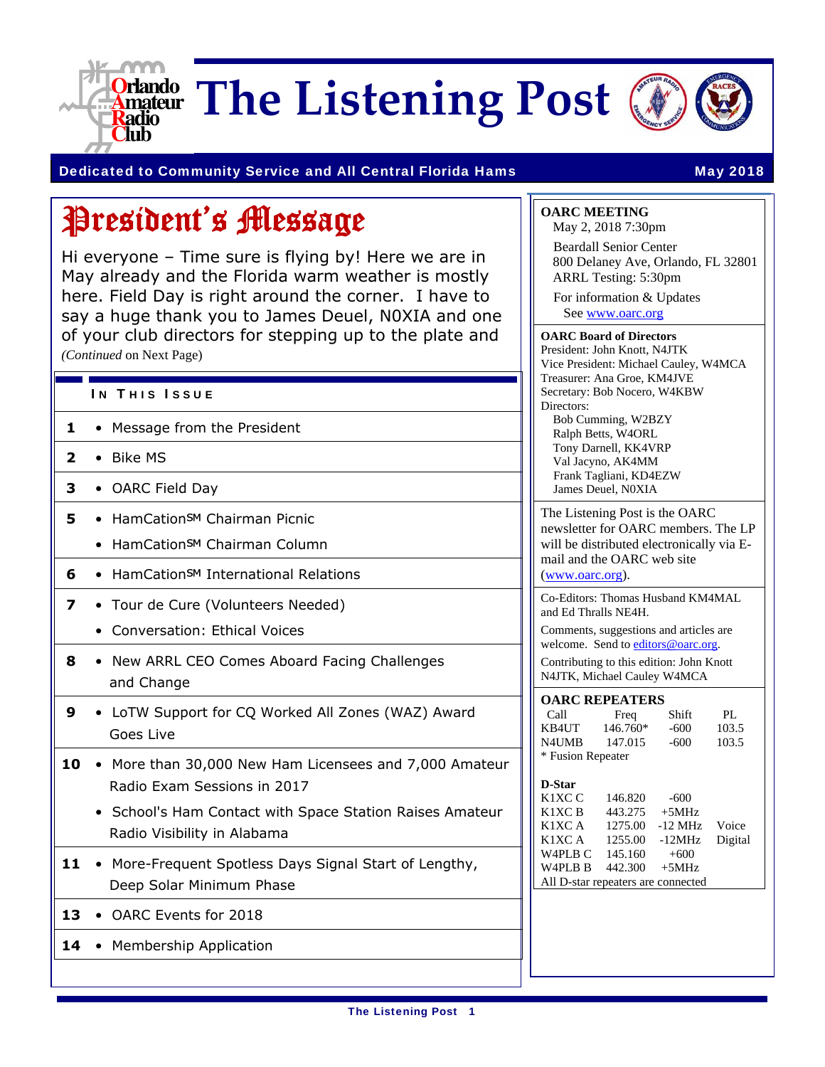

**The Listening Post**



#### Dedicated to Community Service and All Central Florida Hams May 2018

## President's Message

Hi everyone – Time sure is flying by! Here we are in May already and the Florida warm weather is mostly here. Field Day is right around the corner. I have to say a huge thank you to James Deuel, N0XIA and one of your club directors for stepping up to the plate and *(Continued* on Next Page)

#### IN THIS ISSUE

- **1**  Message from the President
- **2**  Bike MS
- **3**  OARC Field Day
- **5** HamCation<sup>SM</sup> Chairman Picnic
	- HamCationSM Chairman Column
- **6** HamCation<sub>SM</sub> International Relations
- **7** Tour de Cure (Volunteers Needed)
	- Conversation: Ethical Voices
- **8**  New ARRL CEO Comes Aboard Facing Challenges and Change
- **9**  LoTW Support for CQ Worked All Zones (WAZ) Award Goes Live
- **10**  More than 30,000 New Ham Licensees and 7,000 Amateur Radio Exam Sessions in 2017
	- School's Ham Contact with Space Station Raises Amateur Radio Visibility in Alabama
- **11**  More-Frequent Spotless Days Signal Start of Lengthy, Deep Solar Minimum Phase
- **13**  OARC Events for 2018
- 14 Membership Application

| <b>OARC MEETING</b> |  |
|---------------------|--|
|---------------------|--|

May 2, 2018 7:30pm Beardall Senior Center 800 Delaney Ave, Orlando, FL 32801 ARRL Testing: 5:30pm

For information & Updates See www.oarc.org

#### **OARC Board of Directors**  President: John Knott, N4JTK

Vice President: Michael Cauley, W4MCA Treasurer: Ana Groe, KM4JVE Secretary: Bob Nocero, W4KBW Directors: Bob Cumming, W2BZY

Ralph Betts, W4ORL Tony Darnell, KK4VRP Val Jacyno, AK4MM Frank Tagliani, KD4EZW James Deuel, N0XIA

The Listening Post is the OARC newsletter for OARC members. The LP will be distributed electronically via Email and the OARC web site (www.oarc.org).

Co-Editors: Thomas Husband KM4MAL and Ed Thralls NE4H.

Comments, suggestions and articles are welcome. Send to editors@oarc.org. Contributing to this edition: John Knott

N4JTK, Michael Cauley W4MCA

| <b>OARC REPEATERS</b> |          |        |       |  |  |
|-----------------------|----------|--------|-------|--|--|
| Call                  | Freq     | Shift  | PI.   |  |  |
| KB4UT                 | 146.760* | $-600$ | 103.5 |  |  |
| N4UMB                 | 147.015  | $-600$ | 103.5 |  |  |
| * Fusion Repeater     |          |        |       |  |  |

#### **D-Star**

| K1XC C                             | 146.820       | $-600$    |         |
|------------------------------------|---------------|-----------|---------|
| K1XC B                             | 443.275       | $+5MHz$   |         |
| K1XC A                             | 1275.00       | $-12$ MHz | Voice   |
| K1XC A                             | 1255.00       | -12MHz    | Digital |
| W <sub>4</sub> PL <sub>B</sub> C   | 145.160       | $+600$    |         |
| W4PLB B                            | 442.300 +5MHz |           |         |
| All D-star repeaters are connected |               |           |         |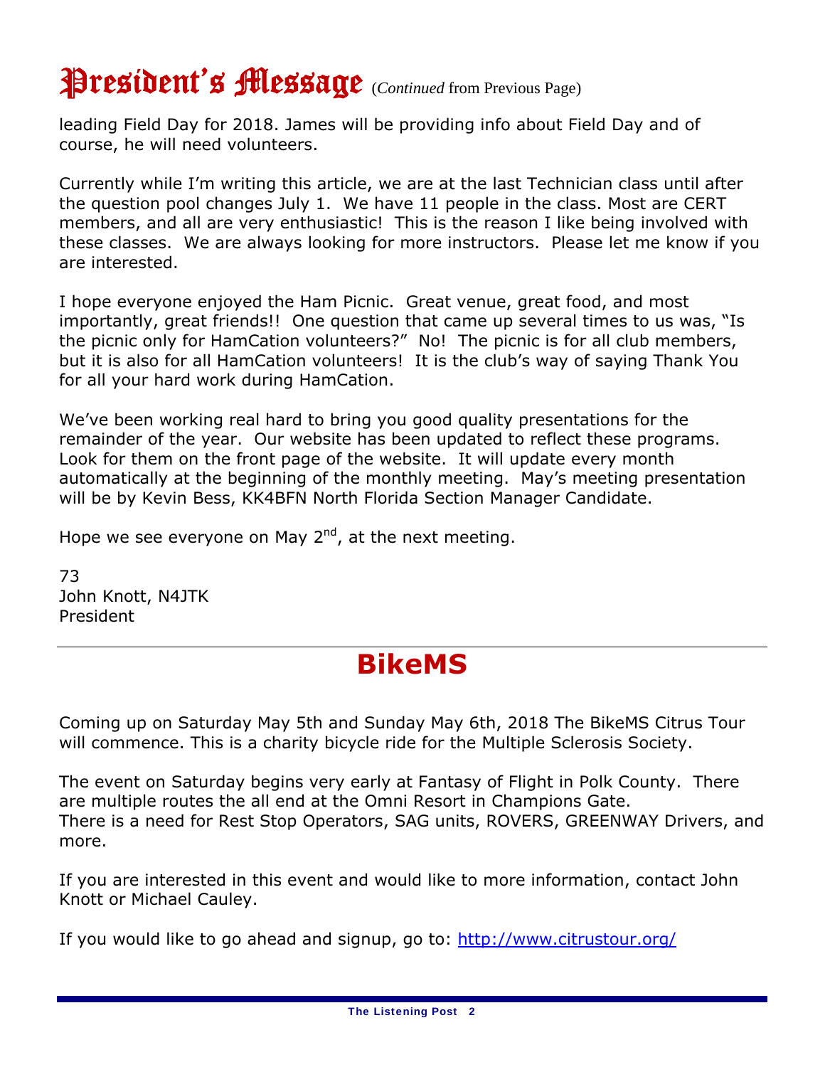## President's Message (*Continued* from Previous Page)

leading Field Day for 2018. James will be providing info about Field Day and of course, he will need volunteers.

Currently while I'm writing this article, we are at the last Technician class until after the question pool changes July 1. We have 11 people in the class. Most are CERT members, and all are very enthusiastic! This is the reason I like being involved with these classes. We are always looking for more instructors. Please let me know if you are interested.

I hope everyone enjoyed the Ham Picnic. Great venue, great food, and most importantly, great friends!! One question that came up several times to us was, "Is the picnic only for HamCation volunteers?" No! The picnic is for all club members, but it is also for all HamCation volunteers! It is the club's way of saying Thank You for all your hard work during HamCation.

We've been working real hard to bring you good quality presentations for the remainder of the year. Our website has been updated to reflect these programs. Look for them on the front page of the website. It will update every month automatically at the beginning of the monthly meeting. May's meeting presentation will be by Kevin Bess, KK4BFN North Florida Section Manager Candidate.

Hope we see everyone on May  $2<sup>nd</sup>$ , at the next meeting.

73 John Knott, N4JTK President

### **BikeMS**

Coming up on Saturday May 5th and Sunday May 6th, 2018 The BikeMS Citrus Tour will commence. This is a charity bicycle ride for the Multiple Sclerosis Society.

The event on Saturday begins very early at Fantasy of Flight in Polk County. There are multiple routes the all end at the Omni Resort in Champions Gate. There is a need for Rest Stop Operators, SAG units, ROVERS, GREENWAY Drivers, and more.

If you are interested in this event and would like to more information, contact John Knott or Michael Cauley.

If you would like to go ahead and signup, go to: http://www.citrustour.org/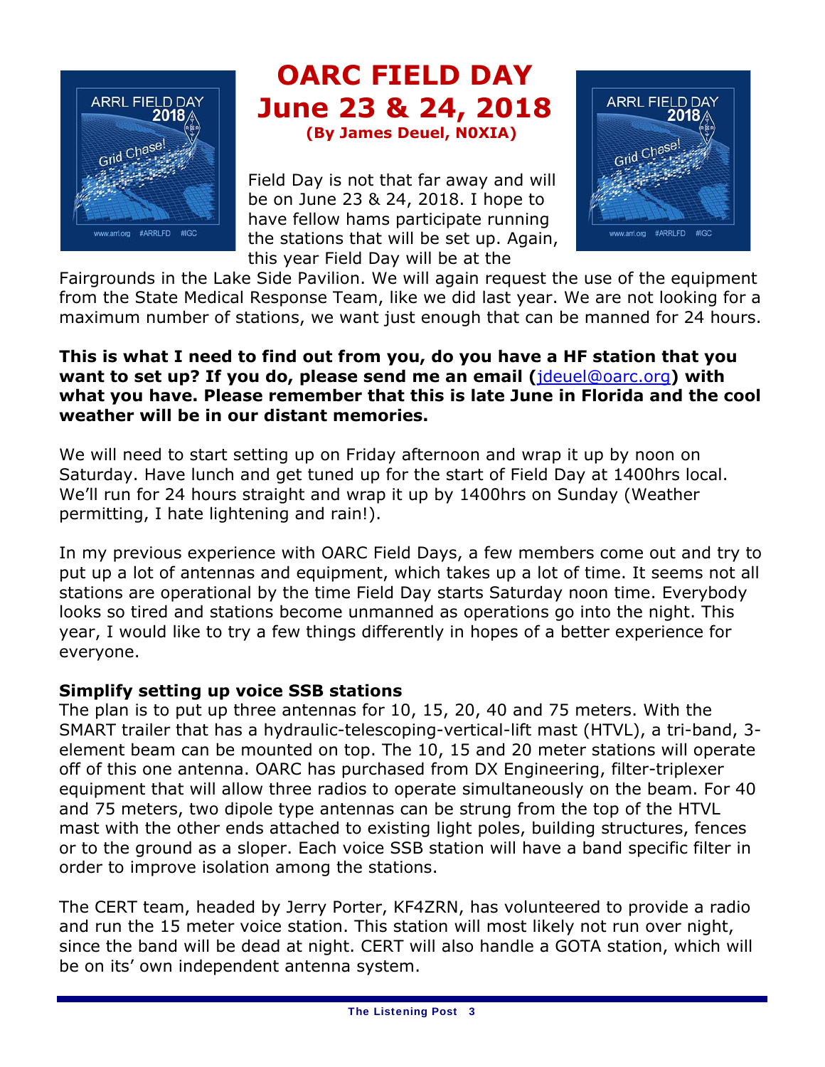

## **OARC FIELD DAY June 23 & 24, 2018**<br>(By James Deuel, N0XIA)

Field Day is not that far away and will be on June 23 & 24, 2018. I hope to have fellow hams participate running the stations that will be set up. Again, this year Field Day will be at the



Fairgrounds in the Lake Side Pavilion. We will again request the use of the equipment from the State Medical Response Team, like we did last year. We are not looking for a maximum number of stations, we want just enough that can be manned for 24 hours.

#### **This is what I need to find out from you, do you have a HF station that you want to set up? If you do, please send me an email (**jdeuel@oarc.org**) with what you have. Please remember that this is late June in Florida and the cool weather will be in our distant memories.**

We will need to start setting up on Friday afternoon and wrap it up by noon on Saturday. Have lunch and get tuned up for the start of Field Day at 1400hrs local. We'll run for 24 hours straight and wrap it up by 1400hrs on Sunday (Weather permitting, I hate lightening and rain!).

In my previous experience with OARC Field Days, a few members come out and try to put up a lot of antennas and equipment, which takes up a lot of time. It seems not all stations are operational by the time Field Day starts Saturday noon time. Everybody looks so tired and stations become unmanned as operations go into the night. This year, I would like to try a few things differently in hopes of a better experience for everyone.

### **Simplify setting up voice SSB stations**

The plan is to put up three antennas for 10, 15, 20, 40 and 75 meters. With the SMART trailer that has a hydraulic-telescoping-vertical-lift mast (HTVL), a tri-band, 3 element beam can be mounted on top. The 10, 15 and 20 meter stations will operate off of this one antenna. OARC has purchased from DX Engineering, filter-triplexer equipment that will allow three radios to operate simultaneously on the beam. For 40 and 75 meters, two dipole type antennas can be strung from the top of the HTVL mast with the other ends attached to existing light poles, building structures, fences or to the ground as a sloper. Each voice SSB station will have a band specific filter in order to improve isolation among the stations.

The CERT team, headed by Jerry Porter, KF4ZRN, has volunteered to provide a radio and run the 15 meter voice station. This station will most likely not run over night, since the band will be dead at night. CERT will also handle a GOTA station, which will be on its' own independent antenna system.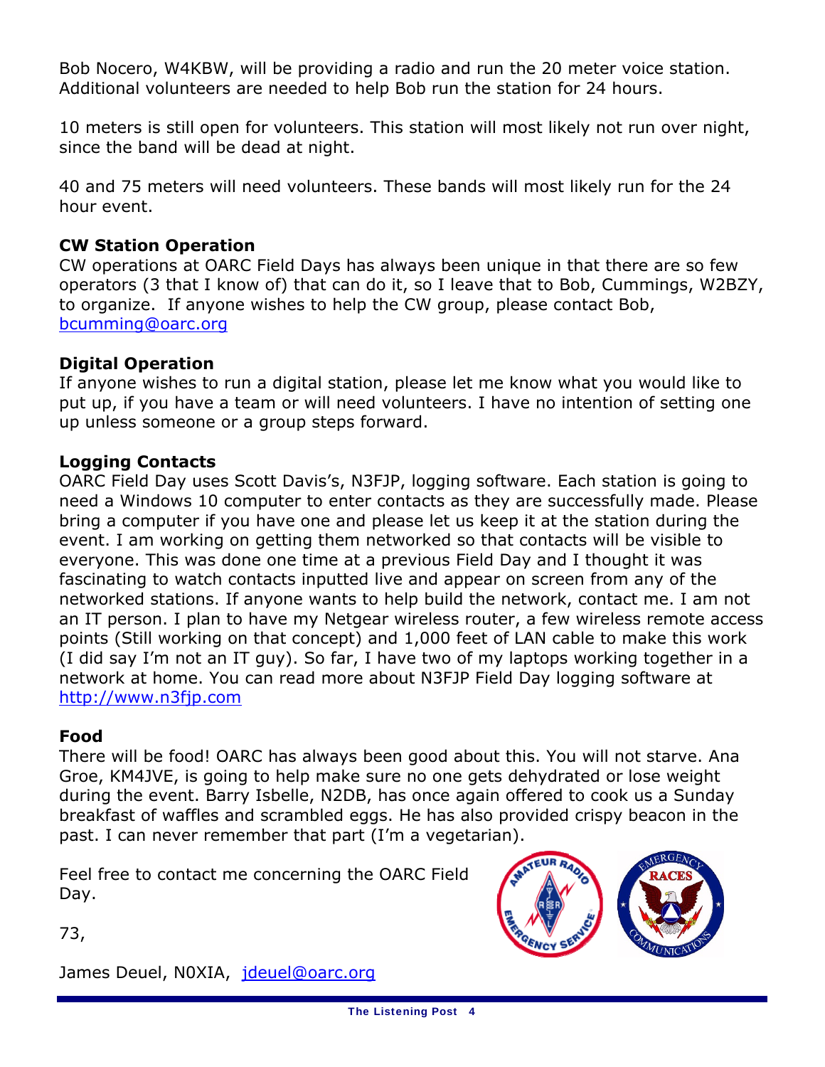Bob Nocero, W4KBW, will be providing a radio and run the 20 meter voice station. Additional volunteers are needed to help Bob run the station for 24 hours.

10 meters is still open for volunteers. This station will most likely not run over night, since the band will be dead at night.

40 and 75 meters will need volunteers. These bands will most likely run for the 24 hour event.

#### **CW Station Operation**

CW operations at OARC Field Days has always been unique in that there are so few operators (3 that I know of) that can do it, so I leave that to Bob, Cummings, W2BZY, to organize. If anyone wishes to help the CW group, please contact Bob, bcumming@oarc.org

#### **Digital Operation**

If anyone wishes to run a digital station, please let me know what you would like to put up, if you have a team or will need volunteers. I have no intention of setting one up unless someone or a group steps forward.

#### **Logging Contacts**

OARC Field Day uses Scott Davis's, N3FJP, logging software. Each station is going to need a Windows 10 computer to enter contacts as they are successfully made. Please bring a computer if you have one and please let us keep it at the station during the event. I am working on getting them networked so that contacts will be visible to everyone. This was done one time at a previous Field Day and I thought it was fascinating to watch contacts inputted live and appear on screen from any of the networked stations. If anyone wants to help build the network, contact me. I am not an IT person. I plan to have my Netgear wireless router, a few wireless remote access points (Still working on that concept) and 1,000 feet of LAN cable to make this work (I did say I'm not an IT guy). So far, I have two of my laptops working together in a network at home. You can read more about N3FJP Field Day logging software at http://www.n3fjp.com

#### **Food**

There will be food! OARC has always been good about this. You will not starve. Ana Groe, KM4JVE, is going to help make sure no one gets dehydrated or lose weight during the event. Barry Isbelle, N2DB, has once again offered to cook us a Sunday breakfast of waffles and scrambled eggs. He has also provided crispy beacon in the past. I can never remember that part (I'm a vegetarian).

Feel free to contact me concerning the OARC Field Day.



73,

James Deuel, N0XIA, jdeuel@oarc.org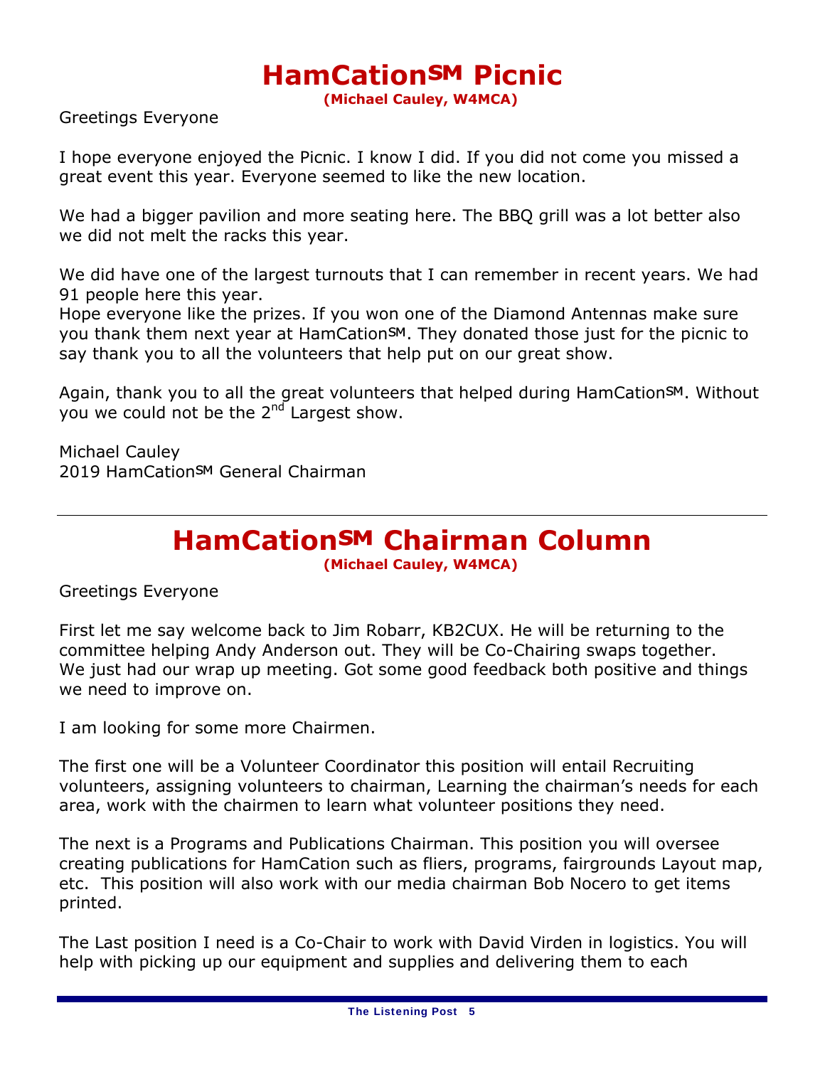# **HamCationSM Picnic**<br>
(Michael Cauley, W4MCA)

Greetings Everyone

I hope everyone enjoyed the Picnic. I know I did. If you did not come you missed a great event this year. Everyone seemed to like the new location.

We had a bigger pavilion and more seating here. The BBQ grill was a lot better also we did not melt the racks this year.

We did have one of the largest turnouts that I can remember in recent years. We had 91 people here this year.

Hope everyone like the prizes. If you won one of the Diamond Antennas make sure you thank them next year at HamCationSM. They donated those just for the picnic to say thank you to all the volunteers that help put on our great show.

Again, thank you to all the great volunteers that helped during HamCationSM. Without you we could not be the  $2^{nd}$  Largest show.

Michael Cauley 2019 HamCationSM General Chairman

### **HamCation℠ Chairman Column**

**(Michael Cauley, W4MCA)**

Greetings Everyone

First let me say welcome back to Jim Robarr, KB2CUX. He will be returning to the committee helping Andy Anderson out. They will be Co-Chairing swaps together. We just had our wrap up meeting. Got some good feedback both positive and things we need to improve on.

I am looking for some more Chairmen.

The first one will be a Volunteer Coordinator this position will entail Recruiting volunteers, assigning volunteers to chairman, Learning the chairman's needs for each area, work with the chairmen to learn what volunteer positions they need.

The next is a Programs and Publications Chairman. This position you will oversee creating publications for HamCation such as fliers, programs, fairgrounds Layout map, etc. This position will also work with our media chairman Bob Nocero to get items printed.

The Last position I need is a Co-Chair to work with David Virden in logistics. You will help with picking up our equipment and supplies and delivering them to each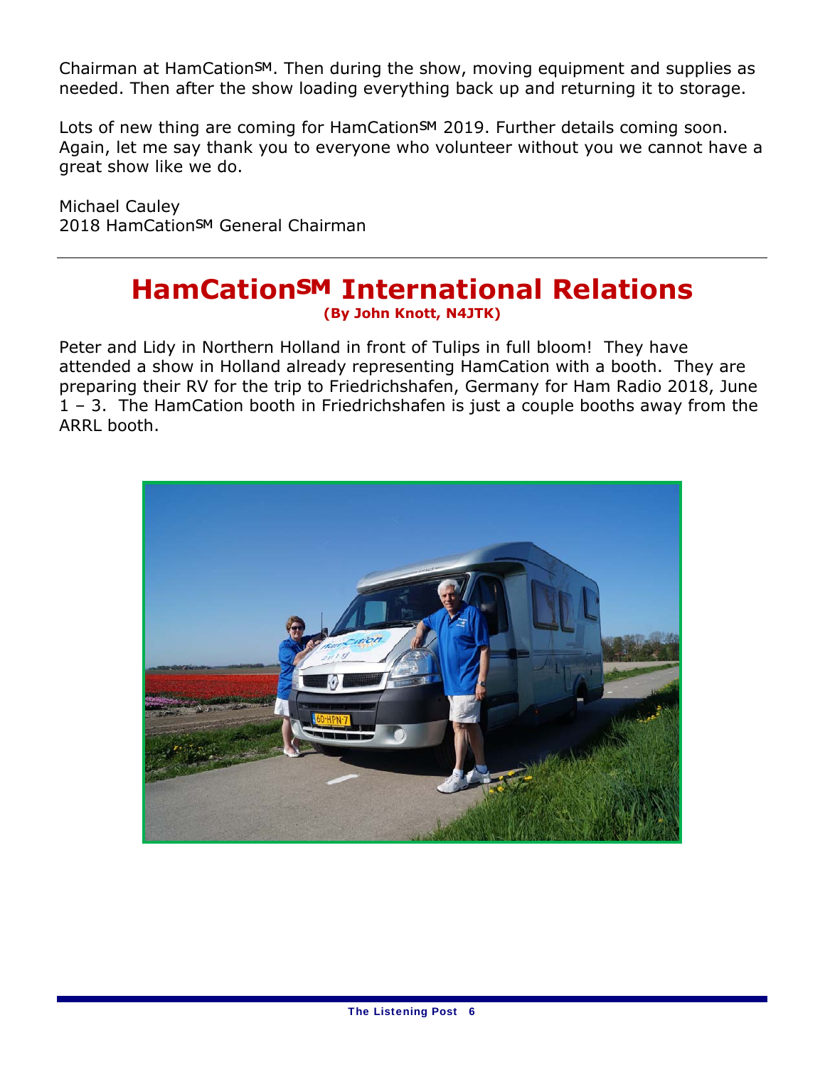Chairman at HamCation™. Then during the show, moving equipment and supplies as needed. Then after the show loading everything back up and returning it to storage.

Lots of new thing are coming for HamCation<sup>SM</sup> 2019. Further details coming soon. Again, let me say thank you to everyone who volunteer without you we cannot have a great show like we do.

Michael Cauley 2018 HamCation<sup>SM</sup> General Chairman

### **HamCation℠ International Relations (By John Knott, N4JTK)**

Peter and Lidy in Northern Holland in front of Tulips in full bloom! They have attended a show in Holland already representing HamCation with a booth. They are preparing their RV for the trip to Friedrichshafen, Germany for Ham Radio 2018, June 1 – 3. The HamCation booth in Friedrichshafen is just a couple booths away from the ARRL booth.

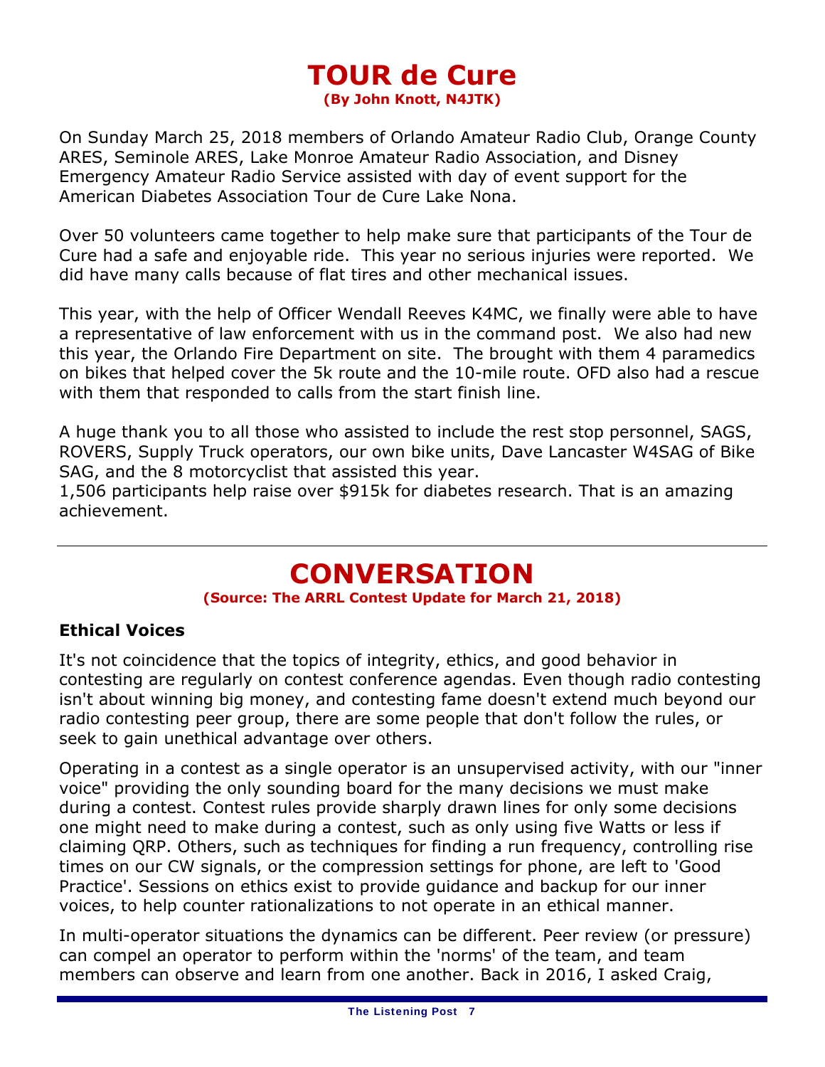### **TOUR de Cure (By John Knott, N4JTK)**

On Sunday March 25, 2018 members of Orlando Amateur Radio Club, Orange County ARES, Seminole ARES, Lake Monroe Amateur Radio Association, and Disney Emergency Amateur Radio Service assisted with day of event support for the American Diabetes Association Tour de Cure Lake Nona.

Over 50 volunteers came together to help make sure that participants of the Tour de Cure had a safe and enjoyable ride. This year no serious injuries were reported. We did have many calls because of flat tires and other mechanical issues.

This year, with the help of Officer Wendall Reeves K4MC, we finally were able to have a representative of law enforcement with us in the command post. We also had new this year, the Orlando Fire Department on site. The brought with them 4 paramedics on bikes that helped cover the 5k route and the 10-mile route. OFD also had a rescue with them that responded to calls from the start finish line.

A huge thank you to all those who assisted to include the rest stop personnel, SAGS, ROVERS, Supply Truck operators, our own bike units, Dave Lancaster W4SAG of Bike SAG, and the 8 motorcyclist that assisted this year.

1,506 participants help raise over \$915k for diabetes research. That is an amazing achievement.

### **CONVERSATION**

#### **(Source: The ARRL Contest Update for March 21, 2018)**

### **Ethical Voices**

It's not coincidence that the topics of integrity, ethics, and good behavior in contesting are regularly on contest conference agendas. Even though radio contesting isn't about winning big money, and contesting fame doesn't extend much beyond our radio contesting peer group, there are some people that don't follow the rules, or seek to gain unethical advantage over others.

Operating in a contest as a single operator is an unsupervised activity, with our "inner voice" providing the only sounding board for the many decisions we must make during a contest. Contest rules provide sharply drawn lines for only some decisions one might need to make during a contest, such as only using five Watts or less if claiming QRP. Others, such as techniques for finding a run frequency, controlling rise times on our CW signals, or the compression settings for phone, are left to 'Good Practice'. Sessions on ethics exist to provide guidance and backup for our inner voices, to help counter rationalizations to not operate in an ethical manner.

In multi-operator situations the dynamics can be different. Peer review (or pressure) can compel an operator to perform within the 'norms' of the team, and team members can observe and learn from one another. Back in 2016, I asked Craig,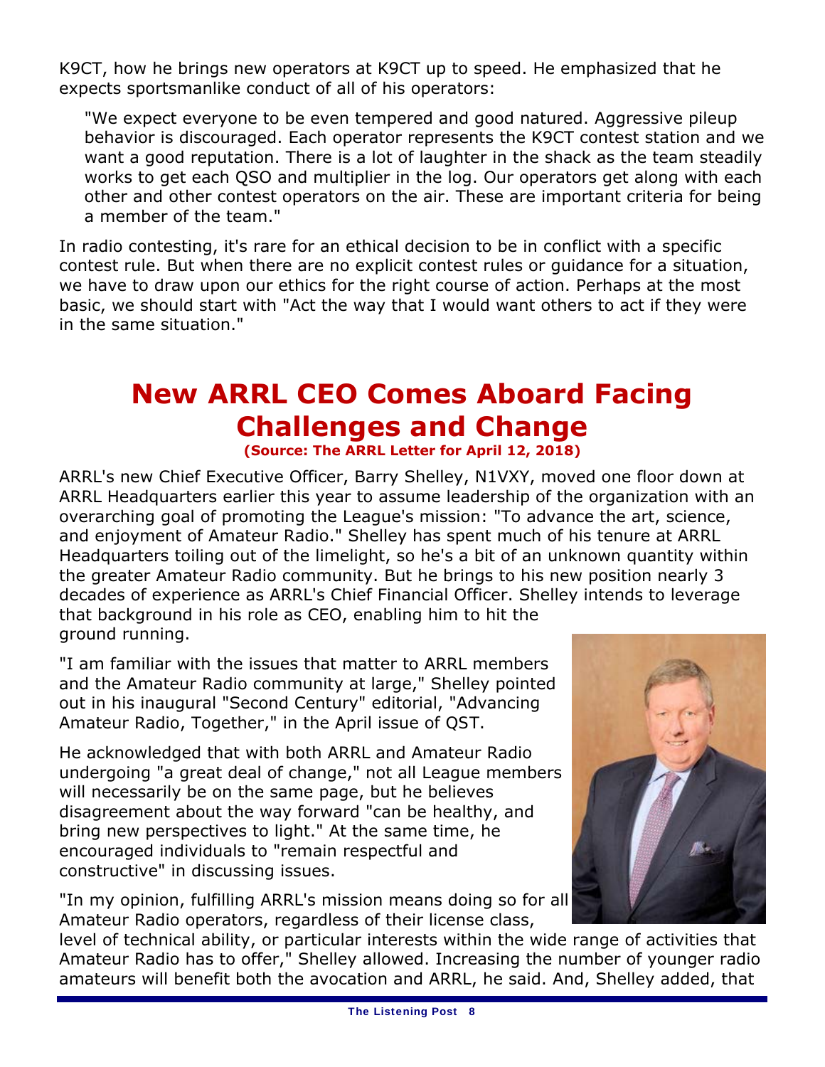K9CT, how he brings new operators at K9CT up to speed. He emphasized that he expects sportsmanlike conduct of all of his operators:

"We expect everyone to be even tempered and good natured. Aggressive pileup behavior is discouraged. Each operator represents the K9CT contest station and we want a good reputation. There is a lot of laughter in the shack as the team steadily works to get each QSO and multiplier in the log. Our operators get along with each other and other contest operators on the air. These are important criteria for being a member of the team."

In radio contesting, it's rare for an ethical decision to be in conflict with a specific contest rule. But when there are no explicit contest rules or guidance for a situation, we have to draw upon our ethics for the right course of action. Perhaps at the most basic, we should start with "Act the way that I would want others to act if they were in the same situation."

### **New ARRL CEO Comes Aboard Facing Challenges and Change (Source: The ARRL Letter for April 12, 2018)**

ARRL's new Chief Executive Officer, Barry Shelley, N1VXY, moved one floor down at ARRL Headquarters earlier this year to assume leadership of the organization with an overarching goal of promoting the League's mission: "To advance the art, science, and enjoyment of Amateur Radio." Shelley has spent much of his tenure at ARRL Headquarters toiling out of the limelight, so he's a bit of an unknown quantity within the greater Amateur Radio community. But he brings to his new position nearly 3 decades of experience as ARRL's Chief Financial Officer. Shelley intends to leverage that background in his role as CEO, enabling him to hit the ground running.

"I am familiar with the issues that matter to ARRL members and the Amateur Radio community at large," Shelley pointed out in his inaugural "Second Century" editorial, "Advancing Amateur Radio, Together," in the April issue of *QST*.

He acknowledged that with both ARRL and Amateur Radio undergoing "a great deal of change," not all League members will necessarily be on the same page, but he believes disagreement about the way forward "can be healthy, and bring new perspectives to light." At the same time, he encouraged individuals to "remain respectful and constructive" in discussing issues.

"In my opinion, fulfilling ARRL's mission means doing so for all Amateur Radio operators, regardless of their license class,



level of technical ability, or particular interests within the wide range of activities that Amateur Radio has to offer," Shelley allowed. Increasing the number of younger radio amateurs will benefit both the avocation and ARRL, he said. And, Shelley added, that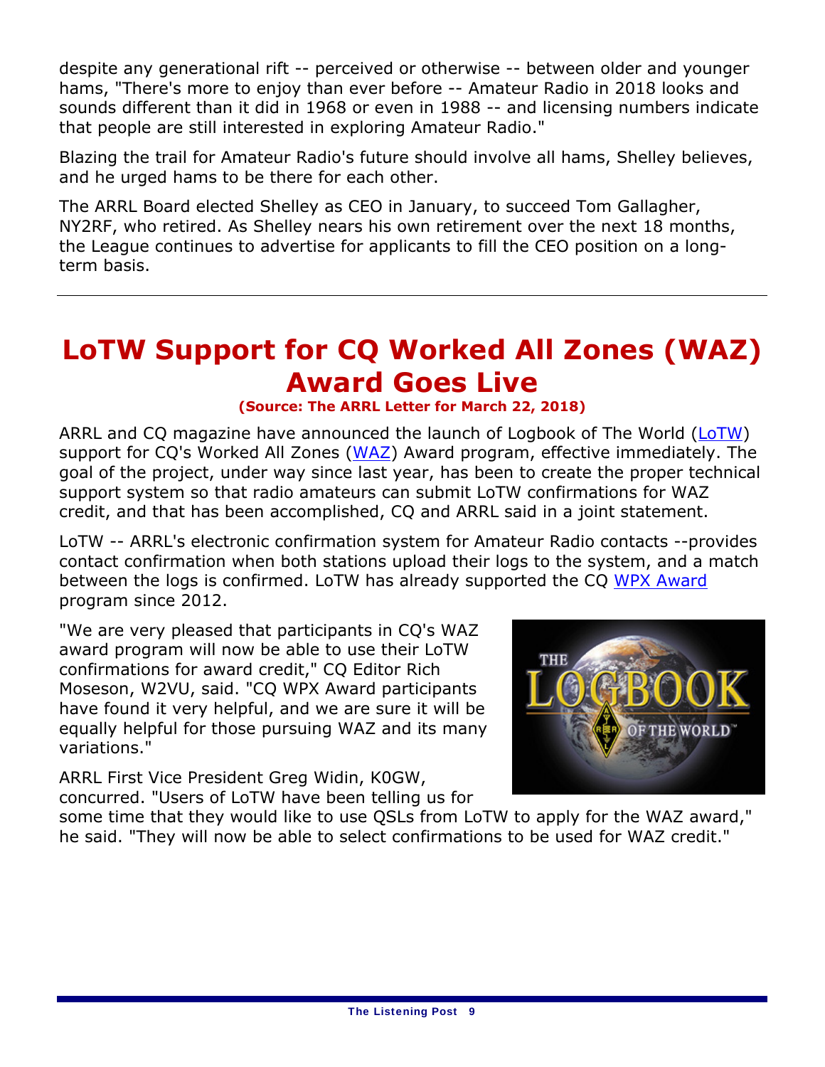despite any generational rift -- perceived or otherwise -- between older and younger hams, "There's more to enjoy than ever before -- Amateur Radio in 2018 looks and sounds different than it did in 1968 or even in 1988 -- and licensing numbers indicate that people are still interested in exploring Amateur Radio."

Blazing the trail for Amateur Radio's future should involve all hams, Shelley believes, and he urged hams to be there for each other.

The ARRL Board elected Shelley as CEO in January, to succeed Tom Gallagher, NY2RF, who retired. As Shelley nears his own retirement over the next 18 months, the League continues to advertise for applicants to fill the CEO position on a longterm basis.

### **LoTW Support for** *CQ* **Worked All Zones (WAZ) Award Goes Live**

### **(Source: The ARRL Letter for March 22, 2018)**

ARRL and *CQ* magazine have announced the launch of Logbook of The World (LoTW) support for *CQ*'s Worked All Zones (WAZ) Award program, effective immediately. The goal of the project, under way since last year, has been to create the proper technical support system so that radio amateurs can submit LoTW confirmations for WAZ credit, and that has been accomplished, *CQ* and ARRL said in a joint statement.

LoTW -- ARRL's electronic confirmation system for Amateur Radio contacts --provides contact confirmation when both stations upload their logs to the system, and a match between the logs is confirmed. LoTW has already supported the *CQ* WPX Award program since 2012.

"We are very pleased that participants in *CQ*'s WAZ award program will now be able to use their LoTW confirmations for award credit," *CQ* Editor Rich Moseson, W2VU, said. "*CQ* WPX Award participants have found it very helpful, and we are sure it will be equally helpful for those pursuing WAZ and its many variations."

ARRL First Vice President Greg Widin, K0GW, concurred. "Users of LoTW have been telling us for



some time that they would like to use QSLs from LoTW to apply for the WAZ award," he said. "They will now be able to select confirmations to be used for WAZ credit."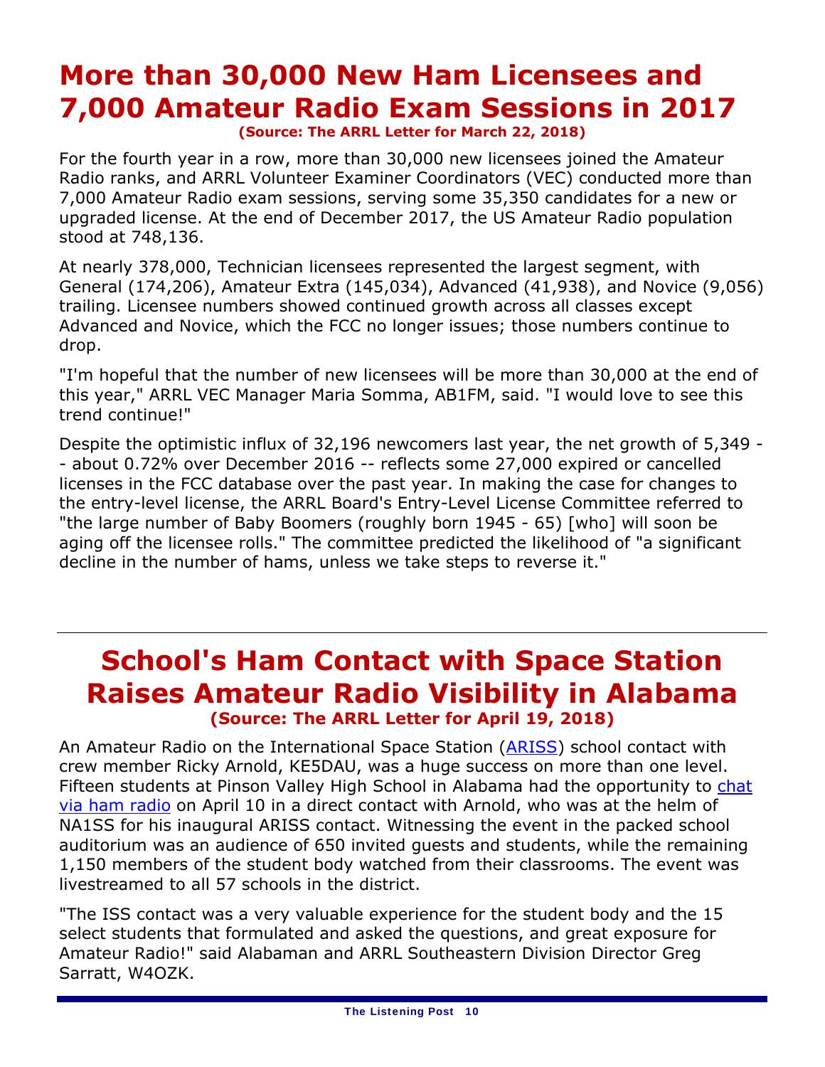### **More than 30,000 New Ham Licensees and 7,000 Amateur Radio Exam Sessions in 2017 (Source: The ARRL Letter for March 22, 2018)**

For the fourth year in a row, more than 30,000 new licensees joined the Amateur Radio ranks, and ARRL Volunteer Examiner Coordinators (VEC) conducted more than 7,000 Amateur Radio exam sessions, serving some 35,350 candidates for a new or upgraded license. At the end of December 2017, the US Amateur Radio population stood at 748,136.

At nearly 378,000, Technician licensees represented the largest segment, with General (174,206), Amateur Extra (145,034), Advanced (41,938), and Novice (9,056) trailing. Licensee numbers showed continued growth across all classes except Advanced and Novice, which the FCC no longer issues; those numbers continue to drop.

"I'm hopeful that the number of new licensees will be more than 30,000 at the end of this year," ARRL VEC Manager Maria Somma, AB1FM, said. "I would love to see this trend continue!"

Despite the optimistic influx of 32,196 newcomers last year, the net growth of 5,349 - - about 0.72% over December 2016 -- reflects some 27,000 expired or cancelled licenses in the FCC database over the past year. In making the case for changes to the entry-level license, the ARRL Board's Entry-Level License Committee referred to "the large number of Baby Boomers (roughly born 1945 - 65) [who] will soon be aging off the licensee rolls." The committee predicted the likelihood of "a significant decline in the number of hams, unless we take steps to reverse it."

### **School's Ham Contact with Space Station Raises Amateur Radio Visibility in Alabama (Source: The ARRL Letter for April 19, 2018)**

An Amateur Radio on the International Space Station (ARISS) school contact with crew member Ricky Arnold, KE5DAU, was a huge success on more than one level. Fifteen students at Pinson Valley High School in Alabama had the opportunity to chat via ham radio on April 10 in a direct contact with Arnold, who was at the helm of NA1SS for his inaugural ARISS contact. Witnessing the event in the packed school auditorium was an audience of 650 invited guests and students, while the remaining 1,150 members of the student body watched from their classrooms. The event was livestreamed to all 57 schools in the district.

"The ISS contact was a very valuable experience for the student body and the 15 select students that formulated and asked the questions, and great exposure for Amateur Radio!" said Alabaman and ARRL Southeastern Division Director Greg Sarratt, W4OZK.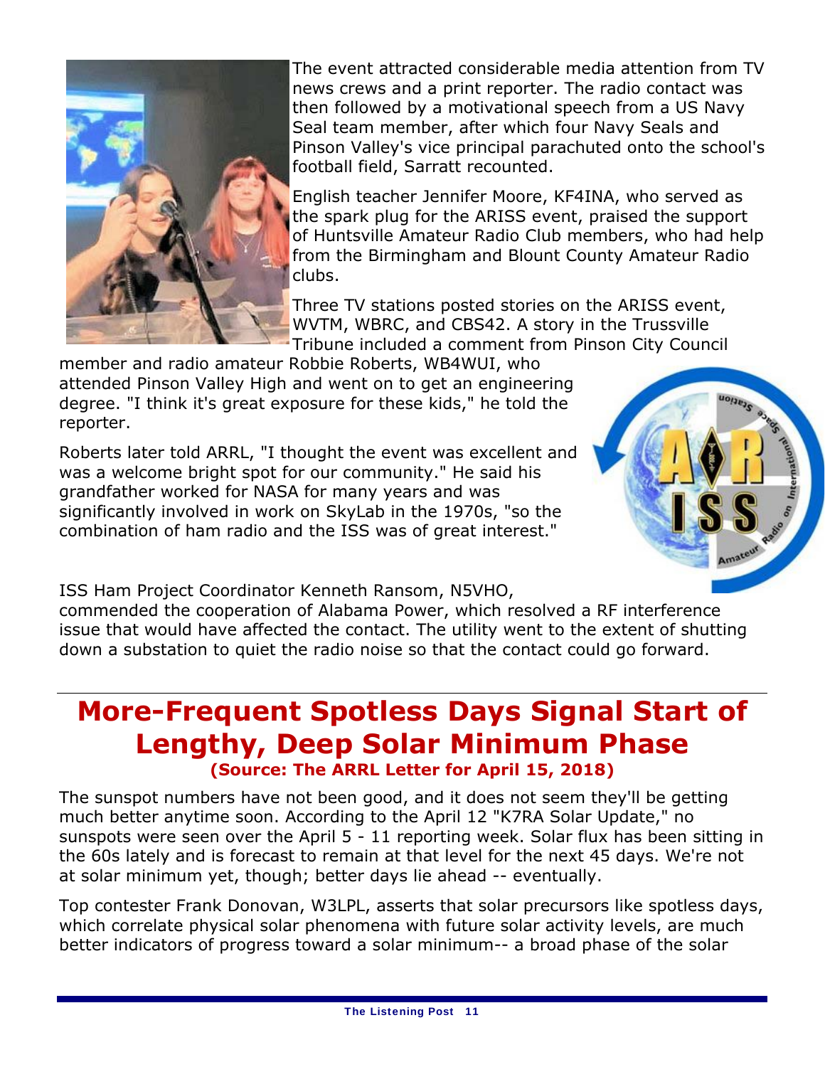

The event attracted considerable media attention from TV news crews and a print reporter. The radio contact was then followed by a motivational speech from a US Navy Seal team member, after which four Navy Seals and Pinson Valley's vice principal parachuted onto the school's football field, Sarratt recounted.

English teacher Jennifer Moore, KF4INA, who served as the spark plug for the ARISS event, praised the support of Huntsville Amateur Radio Club members, who had help from the Birmingham and Blount County Amateur Radio clubs.

Three TV stations posted stories on the ARISS event, WVTM, WBRC, and CBS42. A story in the Trussville Tribune included a comment from Pinson City Council

member and radio amateur Robbie Roberts, WB4WUI, who attended Pinson Valley High and went on to get an engineering degree. "I think it's great exposure for these kids," he told the reporter.

Roberts later told ARRL, "I thought the event was excellent and was a welcome bright spot for our community." He said his grandfather worked for NASA for many years and was significantly involved in work on SkyLab in the 1970s, "so the combination of ham radio and the ISS was of great interest."



ISS Ham Project Coordinator Kenneth Ransom, N5VHO,

commended the cooperation of Alabama Power, which resolved a RF interference issue that would have affected the contact. The utility went to the extent of shutting down a substation to quiet the radio noise so that the contact could go forward.

### **More-Frequent Spotless Days Signal Start of Lengthy, Deep Solar Minimum Phase (Source: The ARRL Letter for April 15, 2018)**

The sunspot numbers have not been good, and it does not seem they'll be getting much better anytime soon. According to the April 12 "K7RA Solar Update," no sunspots were seen over the April 5 - 11 reporting week. Solar flux has been sitting in the 60s lately and is forecast to remain at that level for the next 45 days. We're not at solar minimum yet, though; better days lie ahead -- eventually.

Top contester Frank Donovan, W3LPL, asserts that solar precursors like spotless days, which correlate physical solar phenomena with future solar activity levels, are much better indicators of progress toward a solar minimum-- a broad phase of the solar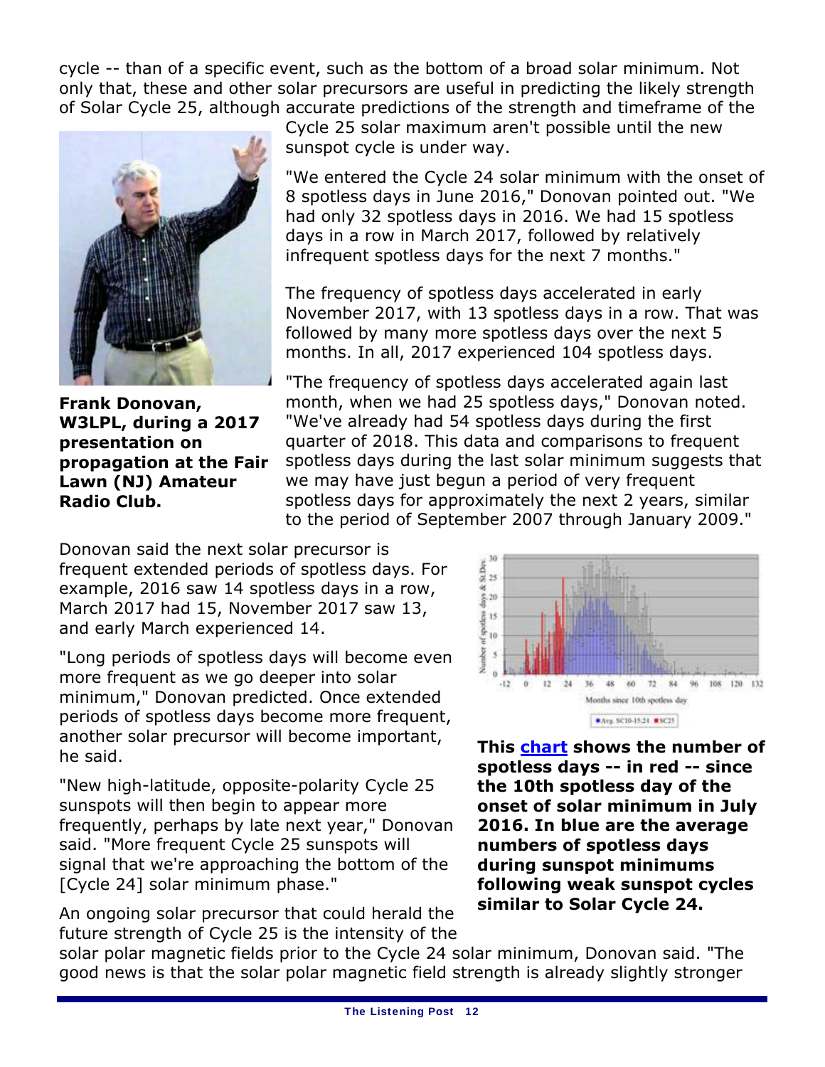cycle -- than of a specific event, such as the bottom of a broad solar minimum. Not only that, these and other solar precursors are useful in predicting the likely strength of Solar Cycle 25, although accurate predictions of the strength and timeframe of the



**Frank Donovan, W3LPL, during a 2017 presentation on propagation at the Fair Lawn (NJ) Amateur Radio Club.**

Cycle 25 solar maximum aren't possible until the new sunspot cycle is under way.

"We entered the Cycle 24 solar minimum with the onset of 8 spotless days in June 2016," Donovan pointed out. "We had only 32 spotless days in 2016. We had 15 spotless days in a row in March 2017, followed by relatively infrequent spotless days for the next 7 months."

The frequency of spotless days accelerated in early November 2017, with 13 spotless days in a row. That was followed by many more spotless days over the next 5 months. In all, 2017 experienced 104 spotless days.

"The frequency of spotless days accelerated again last month, when we had 25 spotless days," Donovan noted. "We've already had 54 spotless days during the first quarter of 2018. This data and comparisons to frequent spotless days during the last solar minimum suggests that we may have just begun a period of very frequent spotless days for approximately the next 2 years, similar to the period of September 2007 through January 2009."

Donovan said the next solar precursor is frequent extended periods of spotless days. For example, 2016 saw 14 spotless days in a row, March 2017 had 15, November 2017 saw 13, and early March experienced 14.

"Long periods of spotless days will become even more frequent as we go deeper into solar minimum," Donovan predicted. Once extended periods of spotless days become more frequent, another solar precursor will become important, he said.

"New high-latitude, opposite-polarity Cycle 25 sunspots will then begin to appear more frequently, perhaps by late next year," Donovan said. "More frequent Cycle 25 sunspots will signal that we're approaching the bottom of the [Cycle 24] solar minimum phase."

An ongoing solar precursor that could herald the future strength of Cycle 25 is the intensity of the



**This chart shows the number of spotless days -- in red -- since the 10th spotless day of the onset of solar minimum in July 2016. In blue are the average numbers of spotless days during sunspot minimums following weak sunspot cycles similar to Solar Cycle 24.**

solar polar magnetic fields *prior* to the Cycle 24 solar minimum, Donovan said. "The good news is that the solar polar magnetic field strength is already slightly stronger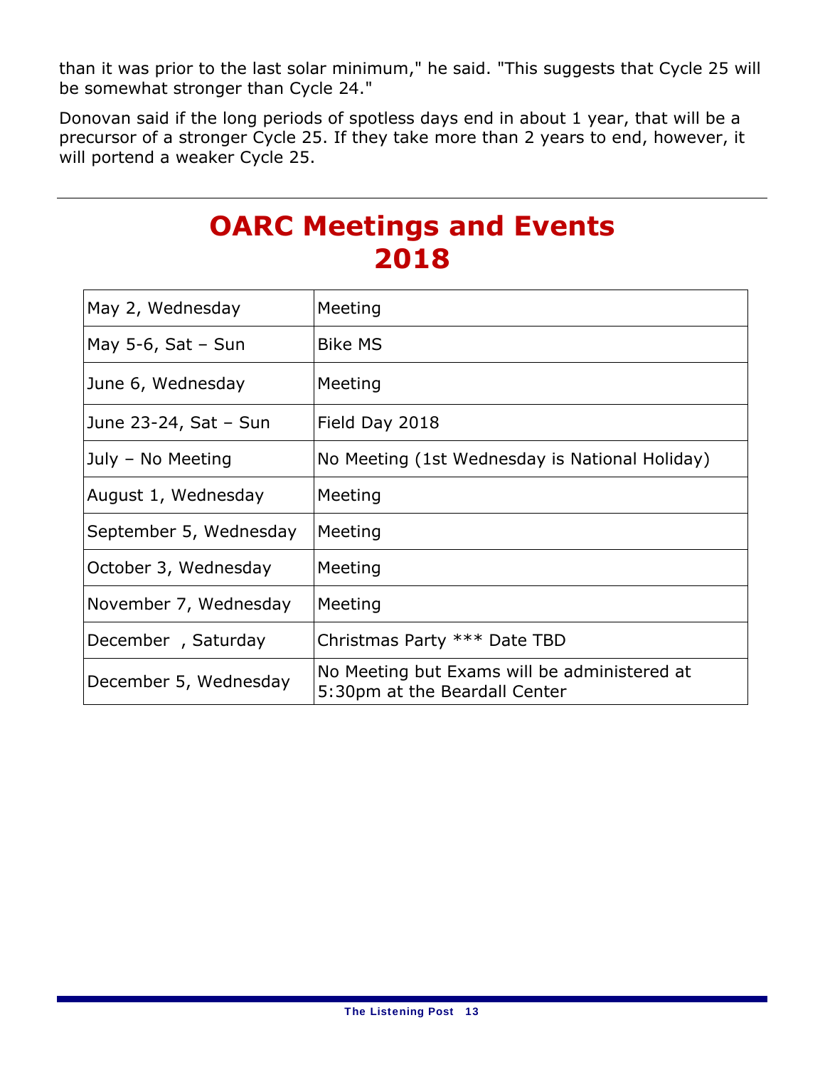than it was prior to the last solar minimum," he said. "This suggests that Cycle 25 will be somewhat stronger than Cycle 24."

Donovan said if the long periods of spotless days end in about 1 year, that will be a precursor of a stronger Cycle 25. If they take more than 2 years to end, however, it will portend a weaker Cycle 25.

### **OARC Meetings and Events 2018**

| May 2, Wednesday       | Meeting                                                                       |
|------------------------|-------------------------------------------------------------------------------|
| May 5-6, Sat $-$ Sun   | <b>Bike MS</b>                                                                |
| June 6, Wednesday      | Meeting                                                                       |
| June 23-24, Sat - Sun  | Field Day 2018                                                                |
| July - No Meeting      | No Meeting (1st Wednesday is National Holiday)                                |
| August 1, Wednesday    | Meeting                                                                       |
| September 5, Wednesday | Meeting                                                                       |
| October 3, Wednesday   | Meeting                                                                       |
| November 7, Wednesday  | Meeting                                                                       |
| December, Saturday     | Christmas Party *** Date TBD                                                  |
| December 5, Wednesday  | No Meeting but Exams will be administered at<br>5:30pm at the Beardall Center |